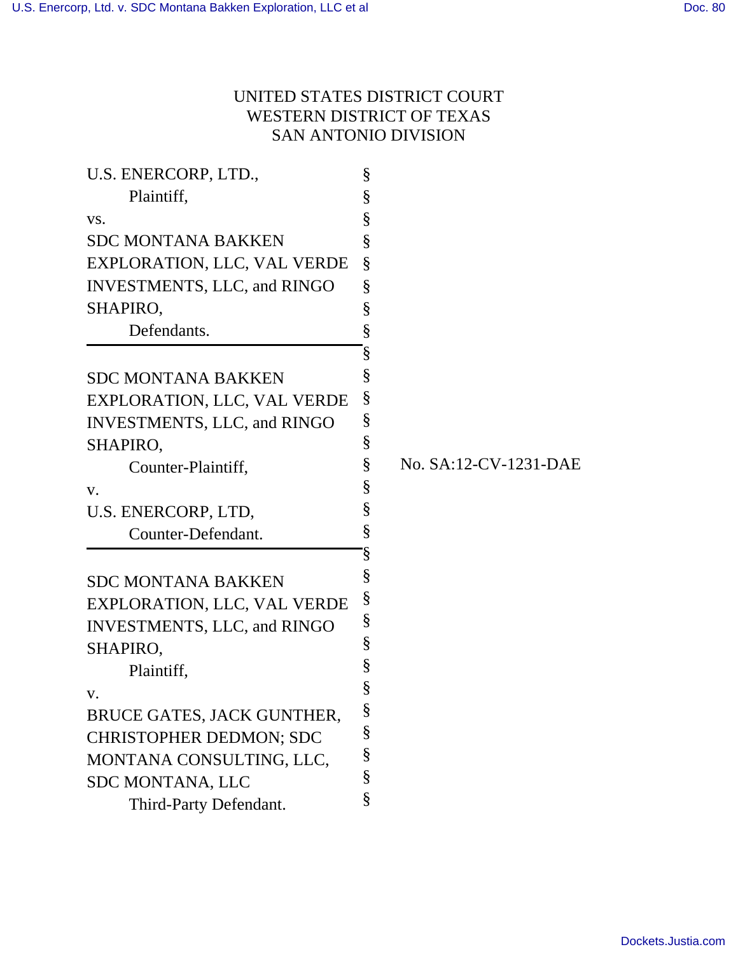# UNITED STATES DISTRICT COURT WESTERN DISTRICT OF TEXAS SAN ANTONIO DIVISION

| §    |                                                      |
|------|------------------------------------------------------|
| $\S$ |                                                      |
| §    |                                                      |
| §    |                                                      |
| $\S$ |                                                      |
| §    |                                                      |
| §    |                                                      |
| §    |                                                      |
| §    |                                                      |
| §    |                                                      |
| $\S$ |                                                      |
| $\S$ |                                                      |
| §    | No. SA:12-CV-1231-DAE                                |
| §    |                                                      |
| §    |                                                      |
| $\S$ |                                                      |
| §    |                                                      |
| §    |                                                      |
| §    |                                                      |
|      |                                                      |
|      |                                                      |
|      |                                                      |
|      |                                                      |
|      |                                                      |
|      |                                                      |
|      |                                                      |
|      |                                                      |
|      |                                                      |
|      | $\S$<br>§<br>§<br>§<br>§<br>§<br>$\S$<br>§<br>§<br>§ |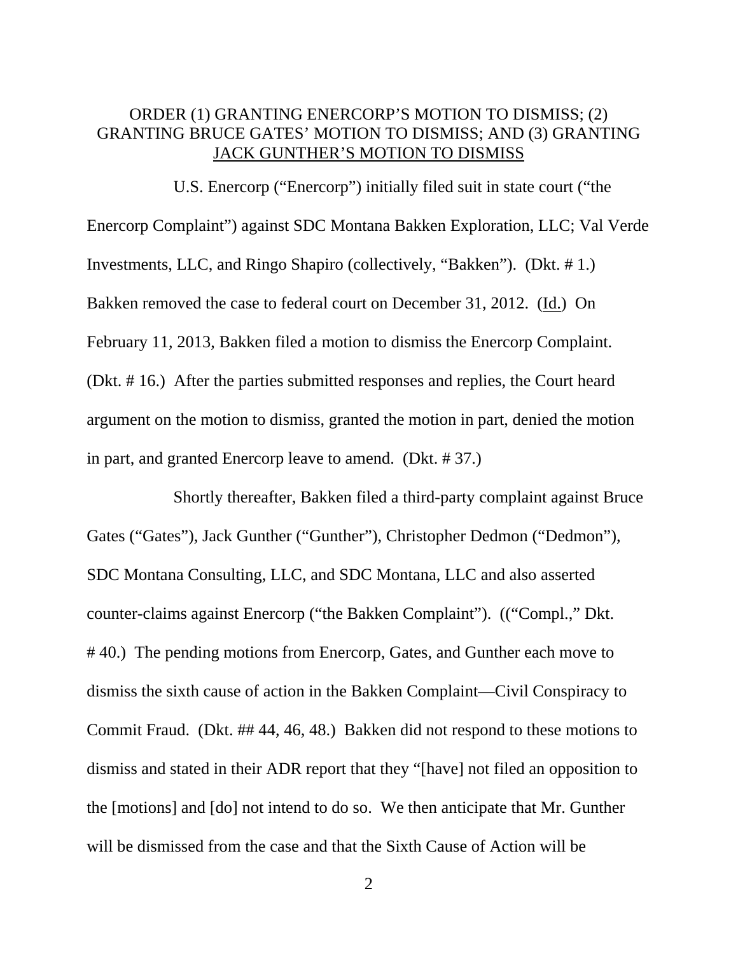# ORDER (1) GRANTING ENERCORP'S MOTION TO DISMISS; (2) GRANTING BRUCE GATES' MOTION TO DISMISS; AND (3) GRANTING JACK GUNTHER'S MOTION TO DISMISS

 U.S. Enercorp ("Enercorp") initially filed suit in state court ("the Enercorp Complaint") against SDC Montana Bakken Exploration, LLC; Val Verde Investments, LLC, and Ringo Shapiro (collectively, "Bakken"). (Dkt. # 1.) Bakken removed the case to federal court on December 31, 2012. (Id.) On February 11, 2013, Bakken filed a motion to dismiss the Enercorp Complaint. (Dkt. # 16.) After the parties submitted responses and replies, the Court heard argument on the motion to dismiss, granted the motion in part, denied the motion in part, and granted Enercorp leave to amend. (Dkt. # 37.)

 Shortly thereafter, Bakken filed a third-party complaint against Bruce Gates ("Gates"), Jack Gunther ("Gunther"), Christopher Dedmon ("Dedmon"), SDC Montana Consulting, LLC, and SDC Montana, LLC and also asserted counter-claims against Enercorp ("the Bakken Complaint"). (("Compl.," Dkt. # 40.) The pending motions from Enercorp, Gates, and Gunther each move to dismiss the sixth cause of action in the Bakken Complaint—Civil Conspiracy to Commit Fraud. (Dkt. ## 44, 46, 48.) Bakken did not respond to these motions to dismiss and stated in their ADR report that they "[have] not filed an opposition to the [motions] and [do] not intend to do so. We then anticipate that Mr. Gunther will be dismissed from the case and that the Sixth Cause of Action will be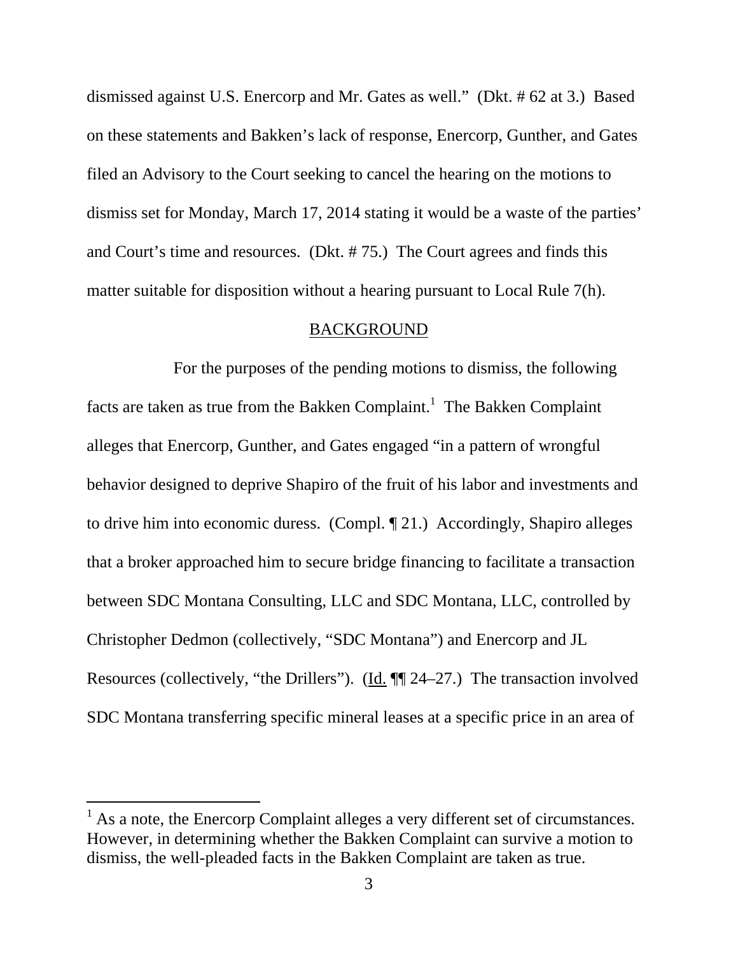dismissed against U.S. Enercorp and Mr. Gates as well." (Dkt. # 62 at 3.) Based on these statements and Bakken's lack of response, Enercorp, Gunther, and Gates filed an Advisory to the Court seeking to cancel the hearing on the motions to dismiss set for Monday, March 17, 2014 stating it would be a waste of the parties' and Court's time and resources. (Dkt. # 75.) The Court agrees and finds this matter suitable for disposition without a hearing pursuant to Local Rule 7(h).

#### BACKGROUND

 For the purposes of the pending motions to dismiss, the following facts are taken as true from the Bakken Complaint.<sup>1</sup> The Bakken Complaint alleges that Enercorp, Gunther, and Gates engaged "in a pattern of wrongful behavior designed to deprive Shapiro of the fruit of his labor and investments and to drive him into economic duress. (Compl. ¶ 21.) Accordingly, Shapiro alleges that a broker approached him to secure bridge financing to facilitate a transaction between SDC Montana Consulting, LLC and SDC Montana, LLC, controlled by Christopher Dedmon (collectively, "SDC Montana") and Enercorp and JL Resources (collectively, "the Drillers"). (Id. ¶¶ 24–27.) The transaction involved SDC Montana transferring specific mineral leases at a specific price in an area of

 $<sup>1</sup>$  As a note, the Enercorp Complaint alleges a very different set of circumstances.</sup> However, in determining whether the Bakken Complaint can survive a motion to dismiss, the well-pleaded facts in the Bakken Complaint are taken as true.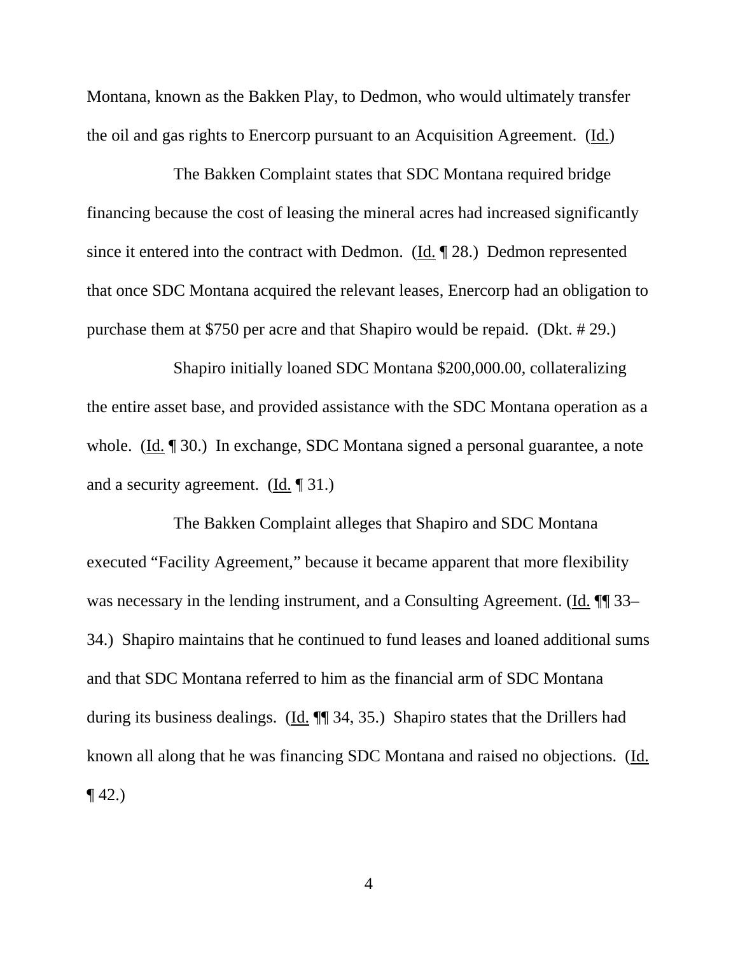Montana, known as the Bakken Play, to Dedmon, who would ultimately transfer the oil and gas rights to Enercorp pursuant to an Acquisition Agreement. (Id.)

 The Bakken Complaint states that SDC Montana required bridge financing because the cost of leasing the mineral acres had increased significantly since it entered into the contract with Dedmon. (Id. ¶ 28.) Dedmon represented that once SDC Montana acquired the relevant leases, Enercorp had an obligation to purchase them at \$750 per acre and that Shapiro would be repaid. (Dkt. # 29.)

 Shapiro initially loaned SDC Montana \$200,000.00, collateralizing the entire asset base, and provided assistance with the SDC Montana operation as a whole. (Id. ¶ 30.) In exchange, SDC Montana signed a personal guarantee, a note and a security agreement. (Id. ¶ 31.)

 The Bakken Complaint alleges that Shapiro and SDC Montana executed "Facility Agreement," because it became apparent that more flexibility was necessary in the lending instrument, and a Consulting Agreement. (Id.  $\P$ ] 33– 34.) Shapiro maintains that he continued to fund leases and loaned additional sums and that SDC Montana referred to him as the financial arm of SDC Montana during its business dealings. (Id. ¶¶ 34, 35.) Shapiro states that the Drillers had known all along that he was financing SDC Montana and raised no objections. (Id.  $\P$  42.)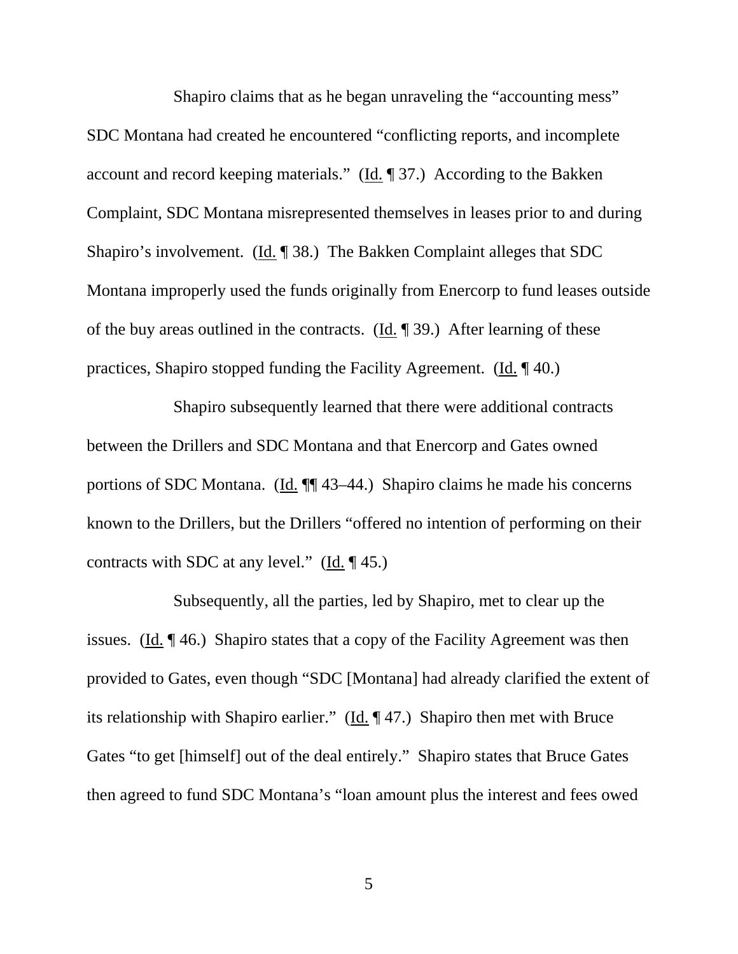Shapiro claims that as he began unraveling the "accounting mess" SDC Montana had created he encountered "conflicting reports, and incomplete account and record keeping materials." (Id. ¶ 37.) According to the Bakken Complaint, SDC Montana misrepresented themselves in leases prior to and during Shapiro's involvement. (Id. ¶ 38.) The Bakken Complaint alleges that SDC Montana improperly used the funds originally from Enercorp to fund leases outside of the buy areas outlined in the contracts.  $(\underline{Id}, \P 39)$ . After learning of these practices, Shapiro stopped funding the Facility Agreement. (Id. ¶ 40.)

 Shapiro subsequently learned that there were additional contracts between the Drillers and SDC Montana and that Enercorp and Gates owned portions of SDC Montana. (Id. ¶¶ 43–44.) Shapiro claims he made his concerns known to the Drillers, but the Drillers "offered no intention of performing on their contracts with SDC at any level."  $(\underline{Id}, \P 45.)$ 

 Subsequently, all the parties, led by Shapiro, met to clear up the issues. (Id. ¶ 46.) Shapiro states that a copy of the Facility Agreement was then provided to Gates, even though "SDC [Montana] had already clarified the extent of its relationship with Shapiro earlier." (Id. ¶ 47.) Shapiro then met with Bruce Gates "to get [himself] out of the deal entirely." Shapiro states that Bruce Gates then agreed to fund SDC Montana's "loan amount plus the interest and fees owed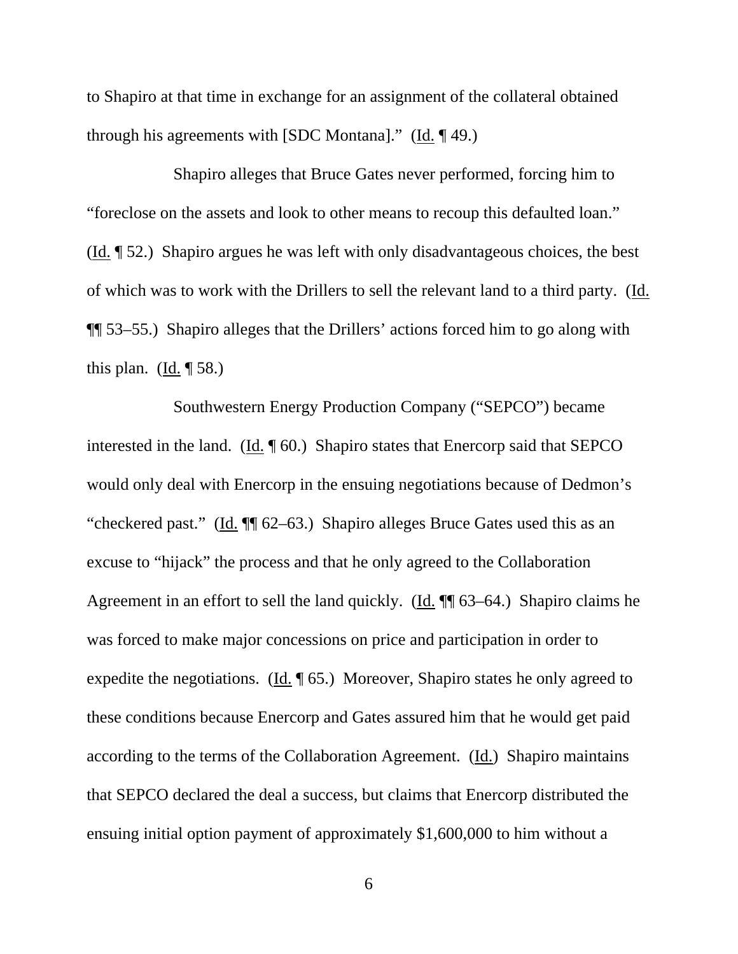to Shapiro at that time in exchange for an assignment of the collateral obtained through his agreements with [SDC Montana]." (Id. ¶ 49.)

 Shapiro alleges that Bruce Gates never performed, forcing him to "foreclose on the assets and look to other means to recoup this defaulted loan." (Id. ¶ 52.) Shapiro argues he was left with only disadvantageous choices, the best of which was to work with the Drillers to sell the relevant land to a third party. (Id. ¶¶ 53–55.) Shapiro alleges that the Drillers' actions forced him to go along with this plan. (Id.  $\parallel$  58.)

 Southwestern Energy Production Company ("SEPCO") became interested in the land. (Id. ¶ 60.) Shapiro states that Enercorp said that SEPCO would only deal with Enercorp in the ensuing negotiations because of Dedmon's "checkered past." (Id. ¶¶ 62–63.) Shapiro alleges Bruce Gates used this as an excuse to "hijack" the process and that he only agreed to the Collaboration Agreement in an effort to sell the land quickly. (Id. ¶¶ 63–64.) Shapiro claims he was forced to make major concessions on price and participation in order to expedite the negotiations. (Id. ¶ 65.) Moreover, Shapiro states he only agreed to these conditions because Enercorp and Gates assured him that he would get paid according to the terms of the Collaboration Agreement. (Id.) Shapiro maintains that SEPCO declared the deal a success, but claims that Enercorp distributed the ensuing initial option payment of approximately \$1,600,000 to him without a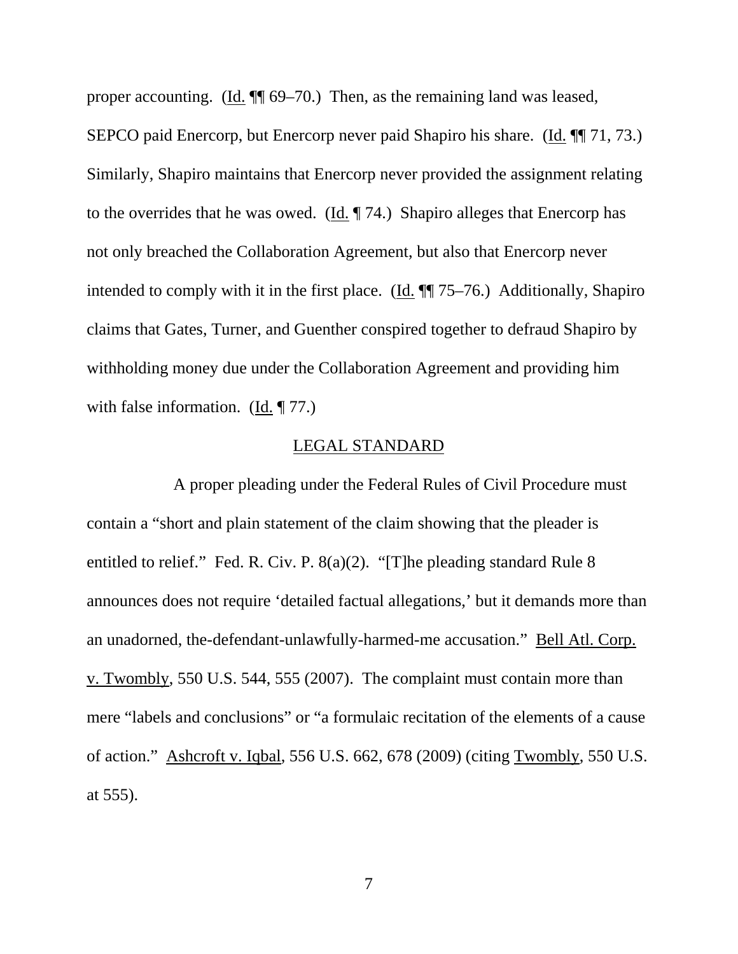proper accounting. (Id. ¶¶ 69–70.) Then, as the remaining land was leased, SEPCO paid Enercorp, but Enercorp never paid Shapiro his share. (Id. ¶¶ 71, 73.) Similarly, Shapiro maintains that Enercorp never provided the assignment relating to the overrides that he was owed. (Id. ¶ 74.) Shapiro alleges that Enercorp has not only breached the Collaboration Agreement, but also that Enercorp never intended to comply with it in the first place. (Id. ¶¶ 75–76.) Additionally, Shapiro claims that Gates, Turner, and Guenther conspired together to defraud Shapiro by withholding money due under the Collaboration Agreement and providing him with false information.  $(\underline{Id}, \P 77)$ .

#### LEGAL STANDARD

 A proper pleading under the Federal Rules of Civil Procedure must contain a "short and plain statement of the claim showing that the pleader is entitled to relief." Fed. R. Civ. P. 8(a)(2). "[T]he pleading standard Rule 8 announces does not require 'detailed factual allegations,' but it demands more than an unadorned, the-defendant-unlawfully-harmed-me accusation." Bell Atl. Corp. v. Twombly, 550 U.S. 544, 555 (2007). The complaint must contain more than mere "labels and conclusions" or "a formulaic recitation of the elements of a cause of action." Ashcroft v. Iqbal, 556 U.S. 662, 678 (2009) (citing Twombly, 550 U.S. at 555).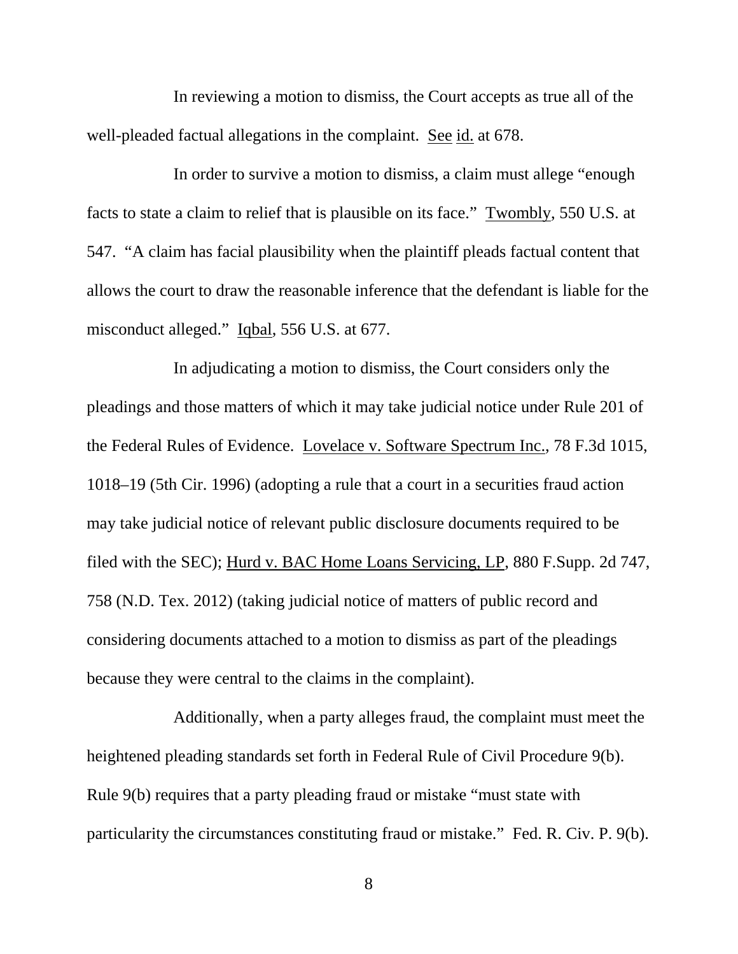In reviewing a motion to dismiss, the Court accepts as true all of the well-pleaded factual allegations in the complaint. See id. at 678.

 In order to survive a motion to dismiss, a claim must allege "enough facts to state a claim to relief that is plausible on its face." Twombly, 550 U.S. at 547. "A claim has facial plausibility when the plaintiff pleads factual content that allows the court to draw the reasonable inference that the defendant is liable for the misconduct alleged." Iqbal, 556 U.S. at 677.

 In adjudicating a motion to dismiss, the Court considers only the pleadings and those matters of which it may take judicial notice under Rule 201 of the Federal Rules of Evidence. Lovelace v. Software Spectrum Inc., 78 F.3d 1015, 1018–19 (5th Cir. 1996) (adopting a rule that a court in a securities fraud action may take judicial notice of relevant public disclosure documents required to be filed with the SEC); Hurd v. BAC Home Loans Servicing, LP, 880 F.Supp. 2d 747, 758 (N.D. Tex. 2012) (taking judicial notice of matters of public record and considering documents attached to a motion to dismiss as part of the pleadings because they were central to the claims in the complaint).

 Additionally, when a party alleges fraud, the complaint must meet the heightened pleading standards set forth in Federal Rule of Civil Procedure 9(b). Rule 9(b) requires that a party pleading fraud or mistake "must state with particularity the circumstances constituting fraud or mistake." Fed. R. Civ. P. 9(b).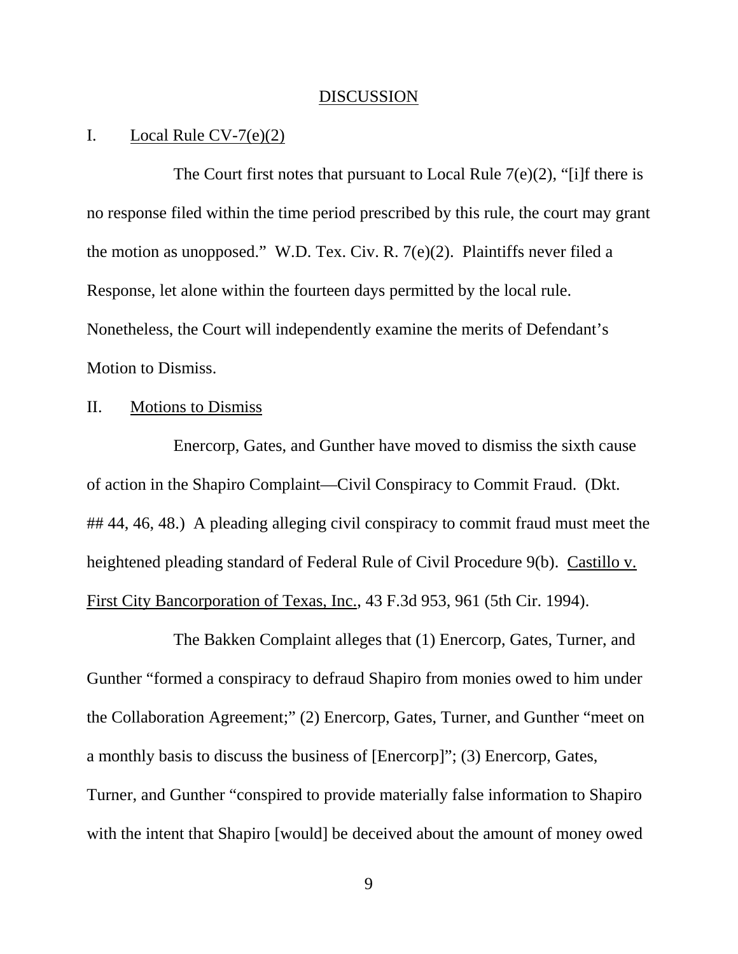#### DISCUSSION

## I. Local Rule  $CV-7(e)(2)$

The Court first notes that pursuant to Local Rule  $7(e)(2)$ , "[i]f there is no response filed within the time period prescribed by this rule, the court may grant the motion as unopposed." W.D. Tex. Civ. R. 7(e)(2). Plaintiffs never filed a Response, let alone within the fourteen days permitted by the local rule. Nonetheless, the Court will independently examine the merits of Defendant's Motion to Dismiss.

### II. Motions to Dismiss

 Enercorp, Gates, and Gunther have moved to dismiss the sixth cause of action in the Shapiro Complaint—Civil Conspiracy to Commit Fraud. (Dkt. ## 44, 46, 48.) A pleading alleging civil conspiracy to commit fraud must meet the heightened pleading standard of Federal Rule of Civil Procedure 9(b). Castillo v. First City Bancorporation of Texas, Inc., 43 F.3d 953, 961 (5th Cir. 1994).

 The Bakken Complaint alleges that (1) Enercorp, Gates, Turner, and Gunther "formed a conspiracy to defraud Shapiro from monies owed to him under the Collaboration Agreement;" (2) Enercorp, Gates, Turner, and Gunther "meet on a monthly basis to discuss the business of [Enercorp]"; (3) Enercorp, Gates, Turner, and Gunther "conspired to provide materially false information to Shapiro with the intent that Shapiro [would] be deceived about the amount of money owed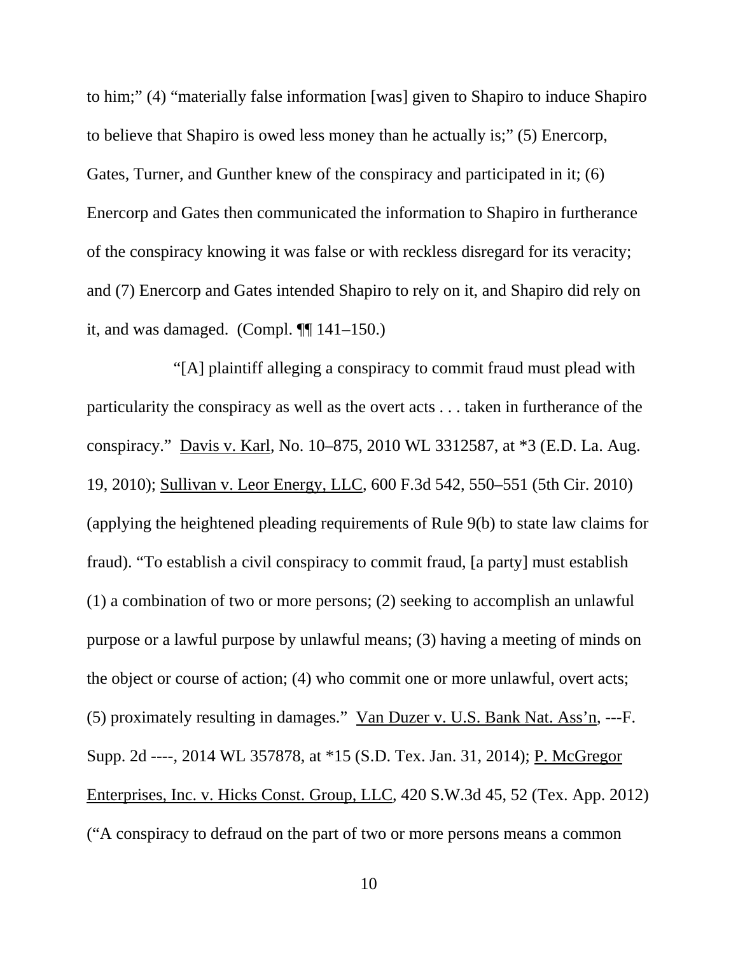to him;" (4) "materially false information [was] given to Shapiro to induce Shapiro to believe that Shapiro is owed less money than he actually is;" (5) Enercorp, Gates, Turner, and Gunther knew of the conspiracy and participated in it; (6) Enercorp and Gates then communicated the information to Shapiro in furtherance of the conspiracy knowing it was false or with reckless disregard for its veracity; and (7) Enercorp and Gates intended Shapiro to rely on it, and Shapiro did rely on it, and was damaged. (Compl.  $\P$ [141–150.)

 "[A] plaintiff alleging a conspiracy to commit fraud must plead with particularity the conspiracy as well as the overt acts . . . taken in furtherance of the conspiracy." Davis v. Karl, No. 10–875, 2010 WL 3312587, at \*3 (E.D. La. Aug. 19, 2010); Sullivan v. Leor Energy, LLC, 600 F.3d 542, 550–551 (5th Cir. 2010) (applying the heightened pleading requirements of Rule 9(b) to state law claims for fraud). "To establish a civil conspiracy to commit fraud, [a party] must establish (1) a combination of two or more persons; (2) seeking to accomplish an unlawful purpose or a lawful purpose by unlawful means; (3) having a meeting of minds on the object or course of action; (4) who commit one or more unlawful, overt acts; (5) proximately resulting in damages." Van Duzer v. U.S. Bank Nat. Ass'n, ---F. Supp. 2d ----, 2014 WL 357878, at \*15 (S.D. Tex. Jan. 31, 2014); P. McGregor Enterprises, Inc. v. Hicks Const. Group, LLC, 420 S.W.3d 45, 52 (Tex. App. 2012) ("A conspiracy to defraud on the part of two or more persons means a common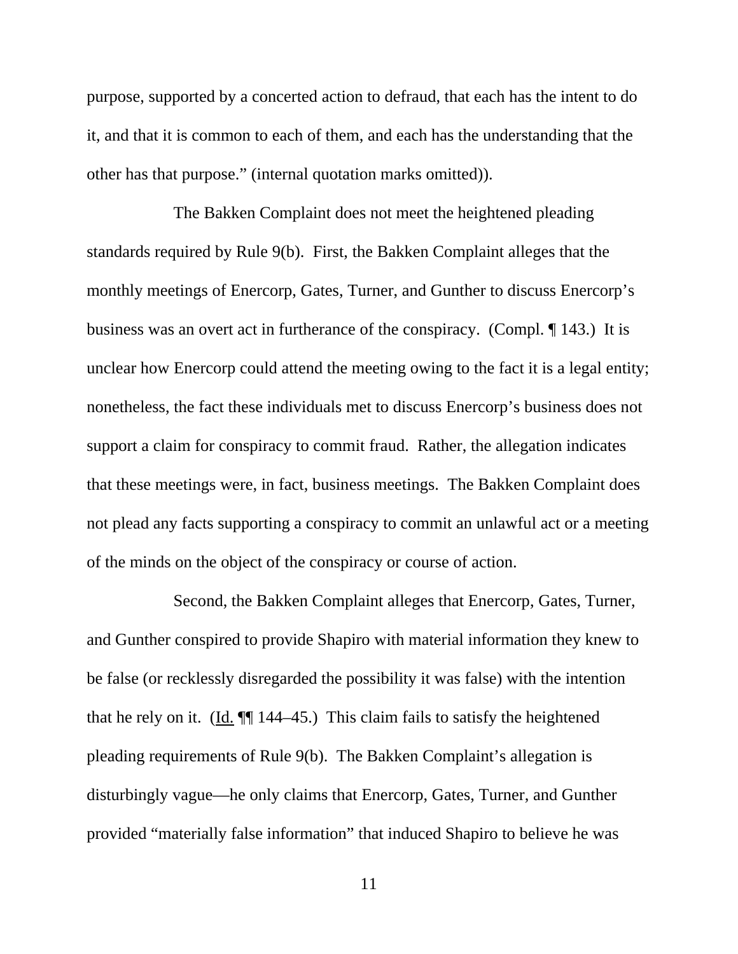purpose, supported by a concerted action to defraud, that each has the intent to do it, and that it is common to each of them, and each has the understanding that the other has that purpose." (internal quotation marks omitted)).

 The Bakken Complaint does not meet the heightened pleading standards required by Rule 9(b). First, the Bakken Complaint alleges that the monthly meetings of Enercorp, Gates, Turner, and Gunther to discuss Enercorp's business was an overt act in furtherance of the conspiracy. (Compl. ¶ 143.) It is unclear how Enercorp could attend the meeting owing to the fact it is a legal entity; nonetheless, the fact these individuals met to discuss Enercorp's business does not support a claim for conspiracy to commit fraud. Rather, the allegation indicates that these meetings were, in fact, business meetings. The Bakken Complaint does not plead any facts supporting a conspiracy to commit an unlawful act or a meeting of the minds on the object of the conspiracy or course of action.

 Second, the Bakken Complaint alleges that Enercorp, Gates, Turner, and Gunther conspired to provide Shapiro with material information they knew to be false (or recklessly disregarded the possibility it was false) with the intention that he rely on it. (Id. ¶¶ 144–45.) This claim fails to satisfy the heightened pleading requirements of Rule 9(b). The Bakken Complaint's allegation is disturbingly vague—he only claims that Enercorp, Gates, Turner, and Gunther provided "materially false information" that induced Shapiro to believe he was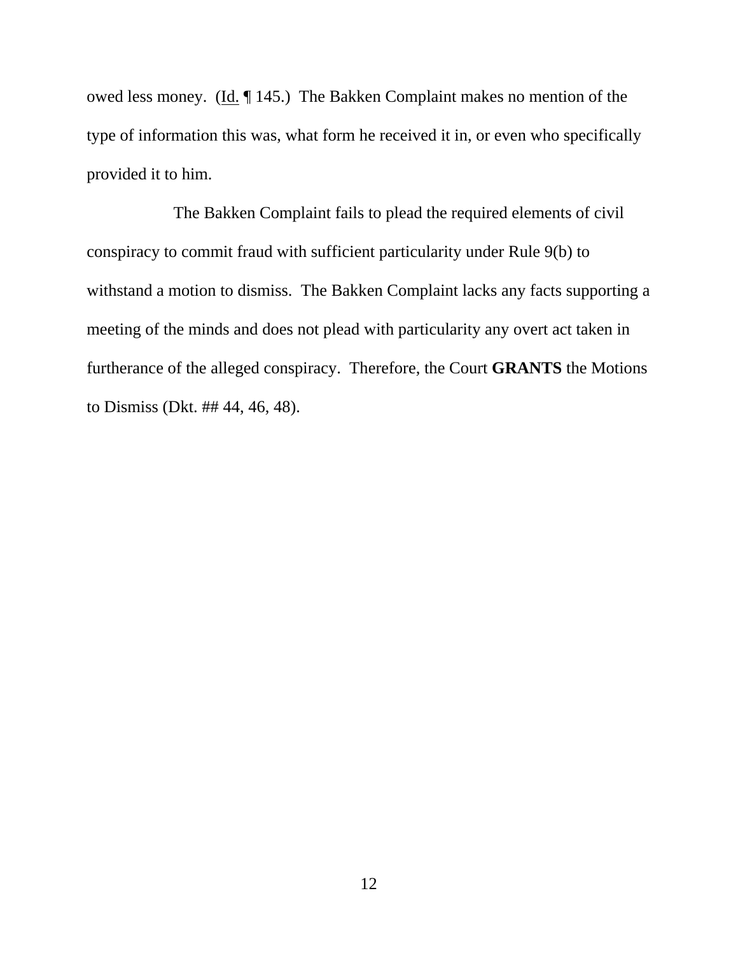owed less money. (Id. ¶ 145.) The Bakken Complaint makes no mention of the type of information this was, what form he received it in, or even who specifically provided it to him.

 The Bakken Complaint fails to plead the required elements of civil conspiracy to commit fraud with sufficient particularity under Rule 9(b) to withstand a motion to dismiss. The Bakken Complaint lacks any facts supporting a meeting of the minds and does not plead with particularity any overt act taken in furtherance of the alleged conspiracy. Therefore, the Court **GRANTS** the Motions to Dismiss (Dkt. ## 44, 46, 48).